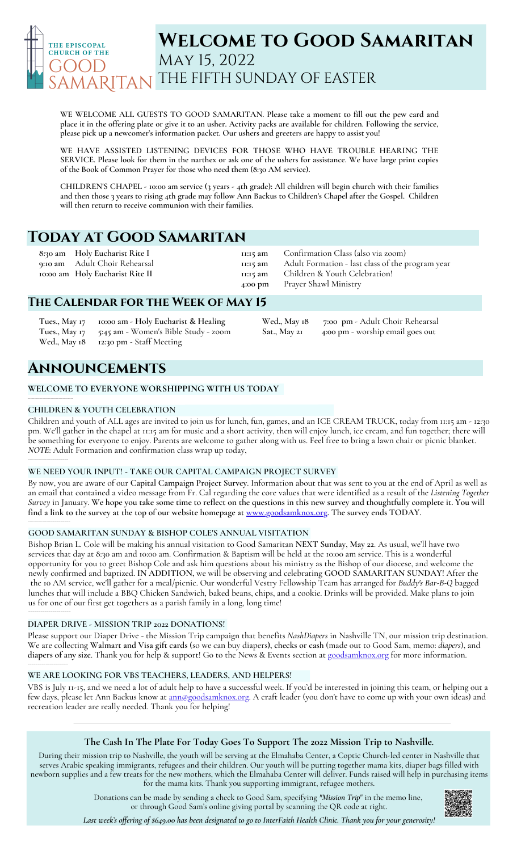

# **Welcome to Good Samaritan** May 15, 2022 THE FIFTH SUNDAY OF EASTER

**WE WELCOME ALL GUESTS TO GOOD SAMARITAN. Please take a moment to fill out the pew card and** place it in the offering plate or give it to an usher. Activity packs are available for children. Following the service, **please pick up a newcomer's information packet. Our ushers and greeters are happy to assist you!**

**WE HAVE ASSISTED LISTENING DEVICES FOR THOSE WHO HAVE TROUBLE HEARING THE** SERVICE. Please look for them in the narthex or ask one of the ushers for assistance. We have large print copies **of the Book of Common Prayer for those who need them (8:30 AM service).**

CHILDREN'S CHAPEL - 10:00 am service (3 years - 4th grade): All children will begin church with their families and then those 3 years to rising 4th grade may follow Ann Backus to Children's Chapel after the Gospel. Children **will then return to receive communion with their families.**

# **Today at Good Samaritan**

**8:30 am Holy Eucharist Rite I 9:10 am** Adult Choir Rehearsal **10:00 am Holy Eucharist Rite II**

**11:15 am 11:15 am 11:15 am 4:00 pm**

Confirmation Class (also via zoom) Adult Formation - last class of the program year Children & Youth Celebration! Prayer Shawl Ministry

**Sat., May 21 4:00 pm** - worship email goes out

**Wed., May 18 7:00 pm** - Adult Choir Rehearsal

## **The Calendar for the Week of May 15**

**Tues., May 17 10:00 am - Holy Eucharist & Healing Tues., May 17 5:45 am -** Women's Bible Study - zoom **Wed., May 18 12:30 pm -** Staff Meeting

# **Announcements**

## **WELCOME TO EVERYONE WORSHIPPING WITH US TODAY**

## **CHILDREN & YOUTH CELEBRATION**

\_\_\_\_\_\_\_\_\_\_\_\_\_\_\_\_\_\_\_

**\_\_\_\_\_\_\_\_\_\_\_\_\_\_\_\_\_\_\_\_\_\_\_\_\_\_\_\_\_\_\_\_\_\_**

Children and youth of ALL ages are invited **to** join us for lunch, fun, games, and an ICE CREAM TRUCK, today from 11:15 am - 12:30 pm. We'll gather in the chapel at 11:15 am for music and a short activity, then will enjoy lunch, ice cream, and fun together; there will be something for everyone to enjoy. Parents are welcome to gather along with us. Feel free to bring a lawn chair or picnic blanket. *NOTE*: Adult Formation and confirmation class wrap up today,

## **WE NEED YOUR INPUT! - TAKE OUR CAPITAL CAMPAIGN PROJECT SURVEY**

By now, you are aware of our **Capital Campaign Project Survey**. Information about that was sent to you at the end of April as well as an email that contained a video message from Fr. Cal regarding the core values that were identified as a result of the *Listening Together* Survey in January. We hope you take some time to reflect on the questions in this new survey and thoughtfully complete it. You will find a link to the survey at the top of our website homepage at [www.goodsamknox.org.](http://www.goodsamknox.org/) The survey ends TODAY. \_\_\_\_\_\_\_\_\_\_\_\_\_\_\_\_\_\_\_\_\_

## **GOOD SAMARITAN SUNDAY & BISHOP COLE'S ANNUAL VISITATION**

Bishop Brian L.Cole will be making his annual visitation to Good Samaritan **NEXT Sunday, May 22**. As usual, we'll have two services that day at 8:30 am and 10:00 am. Confirmation & Baptism will be held at the 10:00 am service. This is a wonderful opportunity for you to greet Bishop Cole and ask him questions about his ministry as the Bishop of our diocese, and welcome the newly confirmed and baptized. **IN ADDITION,** we will be observing and celebrating **GOOD SAMARITAN SUNDAY**! After the the 10 AM service, we'll gather for a meal/picnic. Our wonderful Vestry Fellowship Team has arranged for *Buddy's Bar-B-Q* bagged lunches that will include a BBQ Chicken Sandwich, baked beans, chips, and a cookie. Drinks will be provided. Make plans to join us for one of our first get togethers as a parish family in a long, long time! \_\_\_\_\_\_\_\_\_\_\_\_\_\_\_\_\_\_\_\_\_\_\_\_\_

## **DIAPER DRIVE - MISSION TRIP 2022 DONATIONS!**

Please support our Diaper Drive - the Mission Trip campaign that benefits *NashDiapers* in Nashville TN, our mission trip destination. We are collecting **Walmart and Visa gift cards (**so we can buy diapers**), checks or cash** (made out to Good Sam, memo: *diapers*), and **diapers of any size**. Thank you for help & support! Go to the News & Events section at [goodsamknox.org](http://www.goodsamknox.org/) for more information. \_\_\_\_\_\_\_\_\_\_\_\_\_\_\_\_\_\_\_\_

## **WE ARE LOOKING FOR VBS TEACHERS, LEADERS, AND HELPERS!**

VBS is July 11-15, and we need a lot of adult help to have a successful week. If you'd be interested in joining this team, or helping out a few days, please let Ann Backus know at **ann@goodsamknox.org**. A craft leader (you don't have to come up with your own ideas) and recreation leader are really needed. Thank you for helping!

## **The Cash In The Plate For Today Goes To Support The 2022 Mission Trip to Nashville***.*

During their mission trip to Nashville, the youth will be serving at the Elmahaba Center, a Coptic Church-led center in Nashville that serves Arabic speaking immigrants, refugees and their children. Our youth will be putting together mama kits, diaper bags filled with newborn supplies and a few treats for the new mothers, which the Elmahaba Center will deliver. Funds raised will help in purchasing items for the mama kits. Thank you supporting immigrant, refugee mothers.

> Donations can be made by sending a check to Good Sam, specifying *"Mission Trip*" in the memo line, or through Good Sam's online giving portal by scanning the QR code at right.



Last week's offering of \$649.00 has been designated to go to InterFaith Health Clinic. Thank you for your generosity!